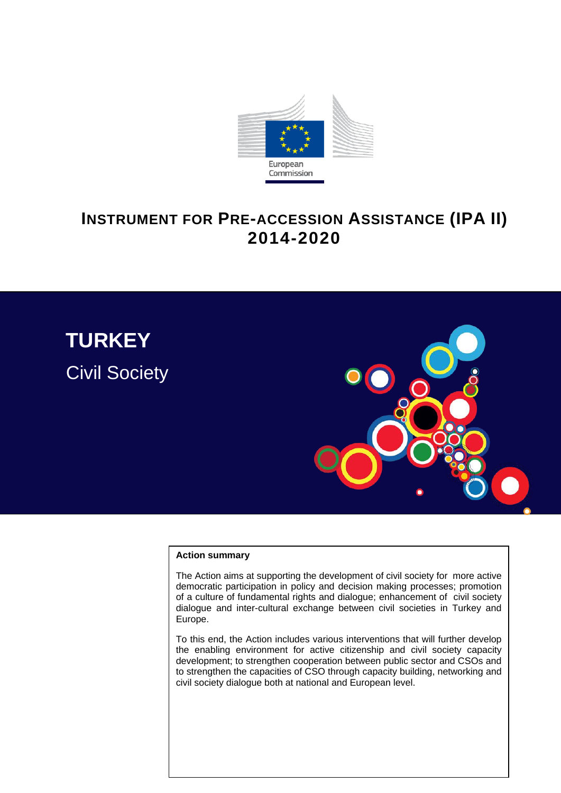

# **INSTRUMENT FOR PRE-ACCESSION ASSISTANCE (IPA II) 2014-2020**



#### **Action summary**

The Action aims at supporting the development of civil society for more active democratic participation in policy and decision making processes; promotion of a culture of fundamental rights and dialogue; enhancement of civil society dialogue and inter-cultural exchange between civil societies in Turkey and Europe.

To this end, the Action includes various interventions that will further develop the enabling environment for active citizenship and civil society capacity development; to strengthen cooperation between public sector and CSOs and to strengthen the capacities of CSO through capacity building, networking and civil society dialogue both at national and European level.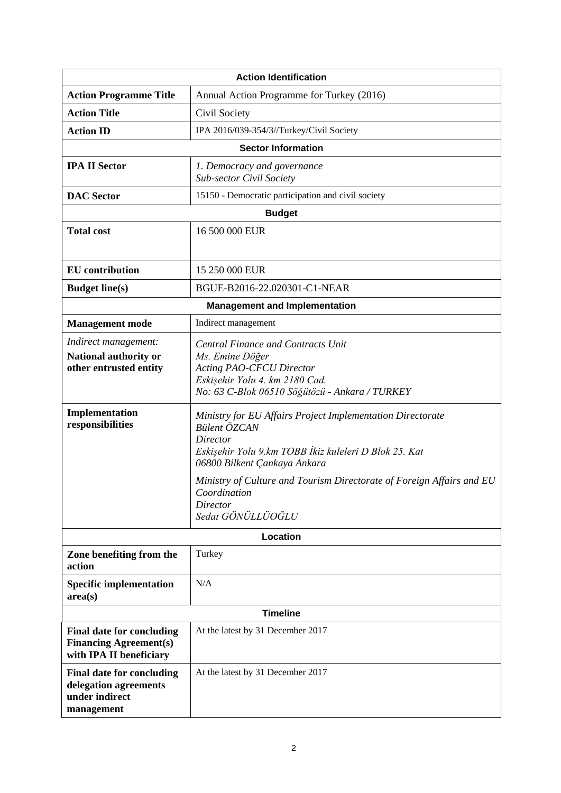| <b>Action Identification</b>                                                                 |                                                                                                                                                                                        |  |  |
|----------------------------------------------------------------------------------------------|----------------------------------------------------------------------------------------------------------------------------------------------------------------------------------------|--|--|
| <b>Action Programme Title</b>                                                                | Annual Action Programme for Turkey (2016)                                                                                                                                              |  |  |
| <b>Action Title</b>                                                                          | Civil Society                                                                                                                                                                          |  |  |
| <b>Action ID</b>                                                                             | IPA 2016/039-354/3//Turkey/Civil Society                                                                                                                                               |  |  |
| <b>Sector Information</b>                                                                    |                                                                                                                                                                                        |  |  |
| <b>IPA II Sector</b>                                                                         | 1. Democracy and governance<br><b>Sub-sector Civil Society</b>                                                                                                                         |  |  |
| <b>DAC</b> Sector                                                                            | 15150 - Democratic participation and civil society                                                                                                                                     |  |  |
| <b>Budget</b>                                                                                |                                                                                                                                                                                        |  |  |
| <b>Total cost</b>                                                                            | 16 500 000 EUR                                                                                                                                                                         |  |  |
| <b>EU</b> contribution                                                                       | 15 250 000 EUR                                                                                                                                                                         |  |  |
| <b>Budget line(s)</b>                                                                        | BGUE-B2016-22.020301-C1-NEAR                                                                                                                                                           |  |  |
| <b>Management and Implementation</b>                                                         |                                                                                                                                                                                        |  |  |
| <b>Management</b> mode                                                                       | Indirect management                                                                                                                                                                    |  |  |
| Indirect management:<br>National authority or<br>other entrusted entity                      | <b>Central Finance and Contracts Unit</b><br>Ms. Emine Döğer<br><b>Acting PAO-CFCU Director</b><br>Eskişehir Yolu 4. km 2180 Cad.<br>No: 63 C-Blok 06510 Söğütözü - Ankara / TURKEY    |  |  |
| Implementation<br>responsibilities                                                           | Ministry for EU Affairs Project Implementation Directorate<br><b>Bülent ÖZCAN</b><br>Director<br>Eskişehir Yolu 9.km TOBB İkiz kuleleri D Blok 25. Kat<br>06800 Bilkent Çankaya Ankara |  |  |
|                                                                                              | Ministry of Culture and Tourism Directorate of Foreign Affairs and EU<br>Coordination<br>Director<br>Sedat GÖNÜLLÜOĞLU                                                                 |  |  |
| Location                                                                                     |                                                                                                                                                                                        |  |  |
| Zone benefiting from the<br>action                                                           | Turkey                                                                                                                                                                                 |  |  |
| <b>Specific implementation</b><br>area(s)                                                    | N/A                                                                                                                                                                                    |  |  |
| <b>Timeline</b>                                                                              |                                                                                                                                                                                        |  |  |
| <b>Final date for concluding</b><br><b>Financing Agreement(s)</b><br>with IPA II beneficiary | At the latest by 31 December 2017                                                                                                                                                      |  |  |
| <b>Final date for concluding</b><br>delegation agreements<br>under indirect<br>management    | At the latest by 31 December 2017                                                                                                                                                      |  |  |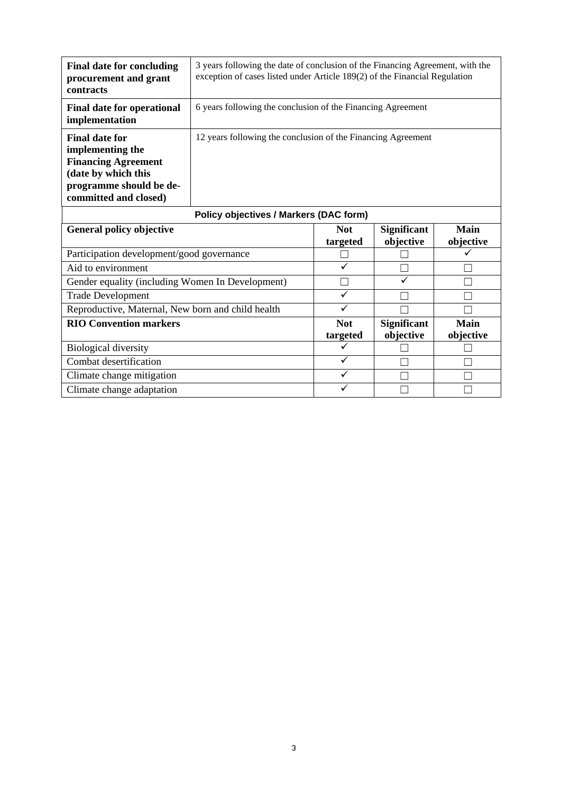| <b>Final date for concluding</b><br>procurement and grant<br>contracts                                                                             | 3 years following the date of conclusion of the Financing Agreement, with the<br>exception of cases listed under Article 189(2) of the Financial Regulation |              |                                 |                          |
|----------------------------------------------------------------------------------------------------------------------------------------------------|-------------------------------------------------------------------------------------------------------------------------------------------------------------|--------------|---------------------------------|--------------------------|
| <b>Final date for operational</b><br>implementation                                                                                                | 6 years following the conclusion of the Financing Agreement                                                                                                 |              |                                 |                          |
| <b>Final date for</b><br>implementing the<br><b>Financing Agreement</b><br>(date by which this<br>programme should be de-<br>committed and closed) | 12 years following the conclusion of the Financing Agreement                                                                                                |              |                                 |                          |
| <b>Policy objectives / Markers (DAC form)</b>                                                                                                      |                                                                                                                                                             |              |                                 |                          |
|                                                                                                                                                    |                                                                                                                                                             |              |                                 |                          |
| <b>General policy objective</b>                                                                                                                    |                                                                                                                                                             | <b>Not</b>   | <b>Significant</b><br>objective | <b>Main</b><br>objective |
| Participation development/good governance                                                                                                          |                                                                                                                                                             | targeted     |                                 |                          |
| Aid to environment                                                                                                                                 |                                                                                                                                                             | ✓            |                                 |                          |
| Gender equality (including Women In Development)                                                                                                   |                                                                                                                                                             |              | ✓                               |                          |
| <b>Trade Development</b>                                                                                                                           |                                                                                                                                                             | $\checkmark$ |                                 |                          |
| Reproductive, Maternal, New born and child health                                                                                                  |                                                                                                                                                             | $\checkmark$ |                                 |                          |
| <b>RIO Convention markers</b>                                                                                                                      |                                                                                                                                                             | <b>Not</b>   | <b>Significant</b>              | <b>Main</b>              |
|                                                                                                                                                    |                                                                                                                                                             | targeted     | objective                       | objective                |
| <b>Biological diversity</b>                                                                                                                        |                                                                                                                                                             | ✓            |                                 |                          |
| Combat desertification                                                                                                                             |                                                                                                                                                             | $\checkmark$ |                                 |                          |
| Climate change mitigation                                                                                                                          |                                                                                                                                                             | $\checkmark$ |                                 |                          |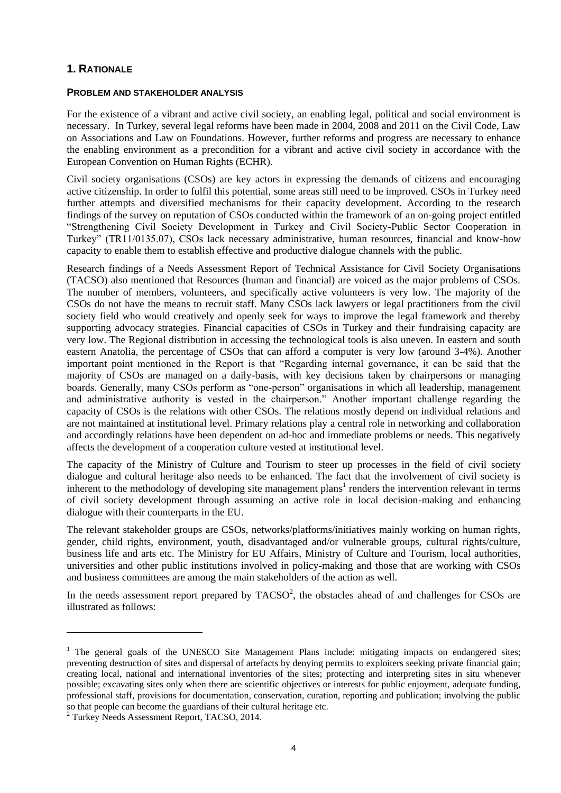## **1. RATIONALE**

#### **PROBLEM AND STAKEHOLDER ANALYSIS**

For the existence of a vibrant and active civil society, an enabling legal, political and social environment is necessary. In Turkey, several legal reforms have been made in 2004, 2008 and 2011 on the Civil Code, Law on Associations and Law on Foundations. However, further reforms and progress are necessary to enhance the enabling environment as a precondition for a vibrant and active civil society in accordance with the European Convention on Human Rights (ECHR).

Civil society organisations (CSOs) are key actors in expressing the demands of citizens and encouraging active citizenship. In order to fulfil this potential, some areas still need to be improved. CSOs in Turkey need further attempts and diversified mechanisms for their capacity development. According to the research findings of the survey on reputation of CSOs conducted within the framework of an on-going project entitled "Strengthening Civil Society Development in Turkey and Civil Society-Public Sector Cooperation in Turkey" (TR11/0135.07), CSOs lack necessary administrative, human resources, financial and know-how capacity to enable them to establish effective and productive dialogue channels with the public.

Research findings of a Needs Assessment Report of Technical Assistance for Civil Society Organisations (TACSO) also mentioned that Resources (human and financial) are voiced as the major problems of CSOs. The number of members, volunteers, and specifically active volunteers is very low. The majority of the CSOs do not have the means to recruit staff. Many CSOs lack lawyers or legal practitioners from the civil society field who would creatively and openly seek for ways to improve the legal framework and thereby supporting advocacy strategies. Financial capacities of CSOs in Turkey and their fundraising capacity are very low. The Regional distribution in accessing the technological tools is also uneven. In eastern and south eastern Anatolia, the percentage of CSOs that can afford a computer is very low (around 3-4%). Another important point mentioned in the Report is that "Regarding internal governance, it can be said that the majority of CSOs are managed on a daily-basis, with key decisions taken by chairpersons or managing boards. Generally, many CSOs perform as "one-person" organisations in which all leadership, management and administrative authority is vested in the chairperson." Another important challenge regarding the capacity of CSOs is the relations with other CSOs. The relations mostly depend on individual relations and are not maintained at institutional level. Primary relations play a central role in networking and collaboration and accordingly relations have been dependent on ad-hoc and immediate problems or needs. This negatively affects the development of a cooperation culture vested at institutional level.

The capacity of the Ministry of Culture and Tourism to steer up processes in the field of civil society dialogue and cultural heritage also needs to be enhanced. The fact that the involvement of civil society is inherent to the methodology of developing site management plans<sup>1</sup> renders the intervention relevant in terms of civil society development through assuming an active role in local decision-making and enhancing dialogue with their counterparts in the EU.

The relevant stakeholder groups are CSOs, networks/platforms/initiatives mainly working on human rights, gender, child rights, environment, youth, disadvantaged and/or vulnerable groups, cultural rights/culture, business life and arts etc. The Ministry for EU Affairs, Ministry of Culture and Tourism, local authorities, universities and other public institutions involved in policy-making and those that are working with CSOs and business committees are among the main stakeholders of the action as well.

In the needs assessment report prepared by  $TACSO<sup>2</sup>$ , the obstacles ahead of and challenges for CSOs are illustrated as follows:

1

 $<sup>1</sup>$  The general goals of the UNESCO Site Management Plans include: mitigating impacts on endangered sites;</sup> preventing destruction of sites and dispersal of artefacts by denying permits to exploiters seeking private financial gain; creating local, national and international inventories of the sites; protecting and interpreting sites in situ whenever possible; excavating sites only when there are scientific objectives or interests for public enjoyment, adequate funding, professional staff, provisions for documentation, conservation, curation, reporting and publication; involving the public so that people can become the guardians of their cultural heritage etc.

<sup>2</sup> Turkey Needs Assessment Report, TACSO, 2014.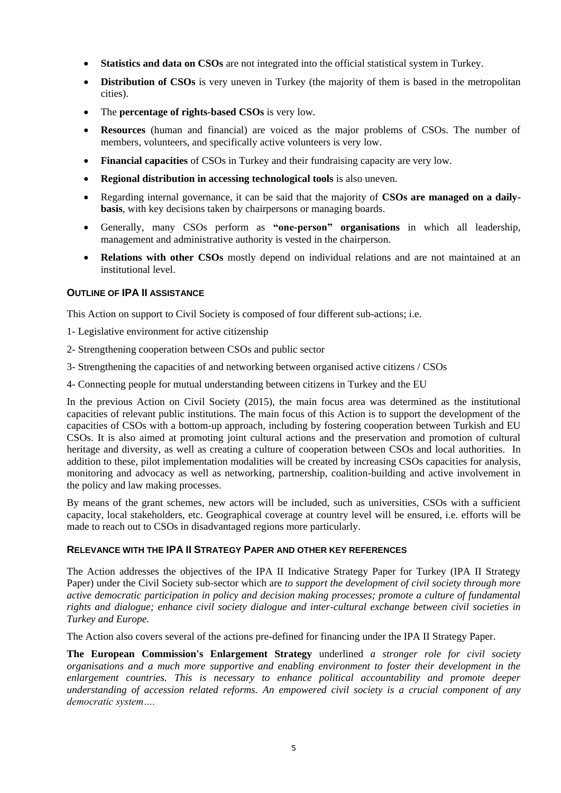- **Statistics and data on CSOs** are not integrated into the official statistical system in Turkey.
- **• Distribution of CSOs** is very uneven in Turkey (the majority of them is based in the metropolitan cities).
- The **percentage of rights-based CSOs** is very low.
- **Resources** (human and financial) are voiced as the major problems of CSOs. The number of members, volunteers, and specifically active volunteers is very low.
- **Financial capacities** of CSOs in Turkey and their fundraising capacity are very low.
- **Regional distribution in accessing technological tools** is also uneven.
- Regarding internal governance, it can be said that the majority of **CSOs are managed on a dailybasis**, with key decisions taken by chairpersons or managing boards.
- Generally, many CSOs perform as **"one-person" organisations** in which all leadership, management and administrative authority is vested in the chairperson.
- **Relations with other CSOs** mostly depend on individual relations and are not maintained at an institutional level.

## **OUTLINE OF IPA II ASSISTANCE**

This Action on support to Civil Society is composed of four different sub-actions; i.e.

- 1- Legislative environment for active citizenship
- 2- Strengthening cooperation between CSOs and public sector
- 3- Strengthening the capacities of and networking between organised active citizens / CSOs
- 4- Connecting people for mutual understanding between citizens in Turkey and the EU

In the previous Action on Civil Society (2015), the main focus area was determined as the institutional capacities of relevant public institutions. The main focus of this Action is to support the development of the capacities of CSOs with a bottom-up approach, including by fostering cooperation between Turkish and EU CSOs. It is also aimed at promoting joint cultural actions and the preservation and promotion of cultural heritage and diversity, as well as creating a culture of cooperation between CSOs and local authorities. In addition to these, pilot implementation modalities will be created by increasing CSOs capacities for analysis, monitoring and advocacy as well as networking, partnership, coalition-building and active involvement in the policy and law making processes.

By means of the grant schemes, new actors will be included, such as universities, CSOs with a sufficient capacity, local stakeholders, etc. Geographical coverage at country level will be ensured, i.e. efforts will be made to reach out to CSOs in disadvantaged regions more particularly.

## **RELEVANCE WITH THE IPA II STRATEGY PAPER AND OTHER KEY REFERENCES**

The Action addresses the objectives of the IPA II Indicative Strategy Paper for Turkey (IPA II Strategy Paper) under the Civil Society sub-sector which are *to support the development of civil society through more active democratic participation in policy and decision making processes; promote a culture of fundamental rights and dialogue; enhance civil society dialogue and inter-cultural exchange between civil societies in Turkey and Europe.*

The Action also covers several of the actions pre-defined for financing under the IPA II Strategy Paper.

**The European Commission's Enlargement Strategy** underlined *a stronger role for civil society organisations and a much more supportive and enabling environment to foster their development in the enlargement countries. This is necessary to enhance political accountability and promote deeper understanding of accession related reforms. An empowered civil society is a crucial component of any democratic system….*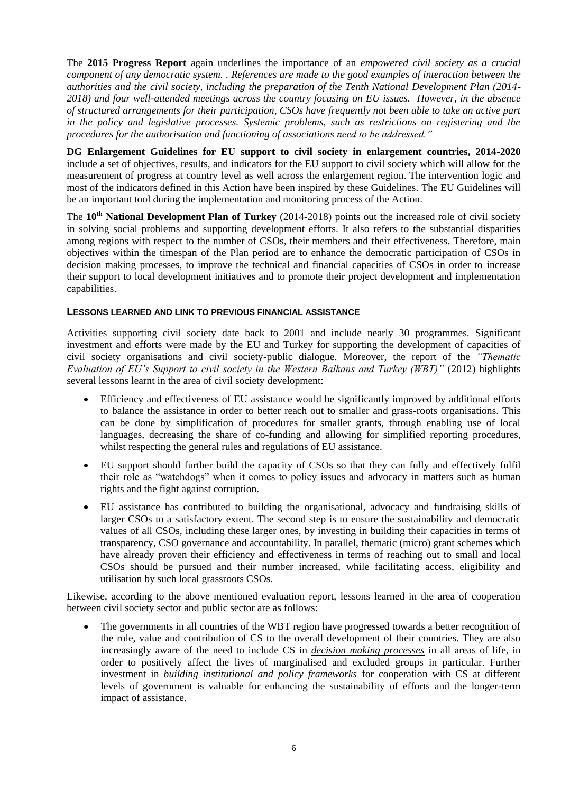The **2015 Progress Report** again underlines the importance of an *empowered civil society as a crucial component of any democratic system. . References are made to the good examples of interaction between the authorities and the civil society, including the preparation of the Tenth National Development Plan (2014- 2018) and four well-attended meetings across the country focusing on EU issues. However, in the absence of structured arrangements for their participation, CSOs have frequently not been able to take an active part in the policy and legislative processes. Systemic problems, such as restrictions on registering and the procedures for the authorisation and functioning of associations need to be addressed."*

**DG Enlargement Guidelines for EU support to civil society in enlargement countries, 2014-2020** include a set of objectives, results, and indicators for the EU support to civil society which will allow for the measurement of progress at country level as well across the enlargement region. The intervention logic and most of the indicators defined in this Action have been inspired by these Guidelines. The EU Guidelines will be an important tool during the implementation and monitoring process of the Action.

The **10th National Development Plan of Turkey** (2014-2018) points out the increased role of civil society in solving social problems and supporting development efforts. It also refers to the substantial disparities among regions with respect to the number of CSOs, their members and their effectiveness. Therefore, main objectives within the timespan of the Plan period are to enhance the democratic participation of CSOs in decision making processes, to improve the technical and financial capacities of CSOs in order to increase their support to local development initiatives and to promote their project development and implementation capabilities.

## **LESSONS LEARNED AND LINK TO PREVIOUS FINANCIAL ASSISTANCE**

Activities supporting civil society date back to 2001 and include nearly 30 programmes. Significant investment and efforts were made by the EU and Turkey for supporting the development of capacities of civil society organisations and civil society-public dialogue. Moreover, the report of the *"Thematic Evaluation of EU's Support to civil society in the Western Balkans and Turkey (WBT)"* (2012) highlights several lessons learnt in the area of civil society development:

- Efficiency and effectiveness of EU assistance would be significantly improved by additional efforts to balance the assistance in order to better reach out to smaller and grass-roots organisations. This can be done by simplification of procedures for smaller grants, through enabling use of local languages, decreasing the share of co-funding and allowing for simplified reporting procedures, whilst respecting the general rules and regulations of EU assistance.
- EU support should further build the capacity of CSOs so that they can fully and effectively fulfil their role as "watchdogs" when it comes to policy issues and advocacy in matters such as human rights and the fight against corruption.
- EU assistance has contributed to building the organisational, advocacy and fundraising skills of larger CSOs to a satisfactory extent. The second step is to ensure the sustainability and democratic values of all CSOs, including these larger ones, by investing in building their capacities in terms of transparency, CSO governance and accountability. In parallel, thematic (micro) grant schemes which have already proven their efficiency and effectiveness in terms of reaching out to small and local CSOs should be pursued and their number increased, while facilitating access, eligibility and utilisation by such local grassroots CSOs.

Likewise, according to the above mentioned evaluation report, lessons learned in the area of cooperation between civil society sector and public sector are as follows:

 The governments in all countries of the WBT region have progressed towards a better recognition of the role, value and contribution of CS to the overall development of their countries. They are also increasingly aware of the need to include CS in *decision making processes* in all areas of life, in order to positively affect the lives of marginalised and excluded groups in particular. Further investment in *building institutional and policy frameworks* for cooperation with CS at different levels of government is valuable for enhancing the sustainability of efforts and the longer-term impact of assistance.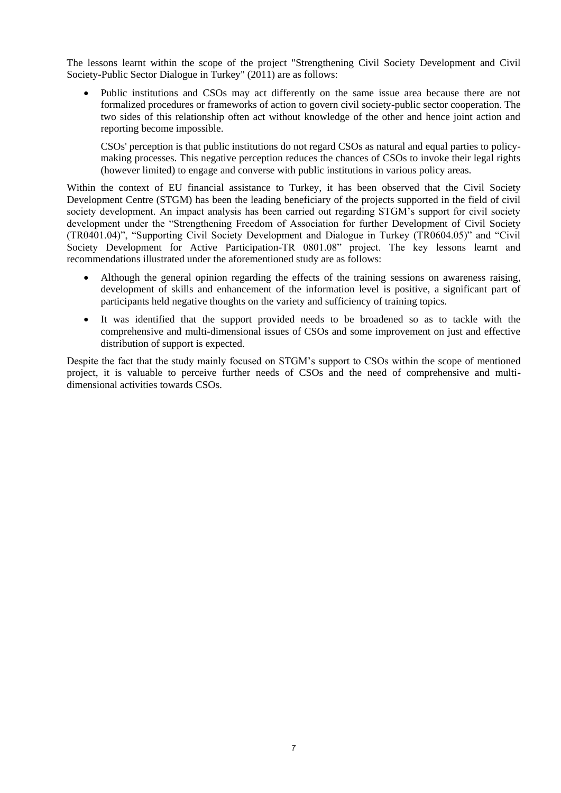The lessons learnt within the scope of the project "Strengthening Civil Society Development and Civil Society-Public Sector Dialogue in Turkey" (2011) are as follows:

 Public institutions and CSOs may act differently on the same issue area because there are not formalized procedures or frameworks of action to govern civil society-public sector cooperation. The two sides of this relationship often act without knowledge of the other and hence joint action and reporting become impossible.

CSOs' perception is that public institutions do not regard CSOs as natural and equal parties to policymaking processes. This negative perception reduces the chances of CSOs to invoke their legal rights (however limited) to engage and converse with public institutions in various policy areas.

Within the context of EU financial assistance to Turkey, it has been observed that the Civil Society Development Centre (STGM) has been the leading beneficiary of the projects supported in the field of civil society development. An impact analysis has been carried out regarding STGM's support for civil society development under the "Strengthening Freedom of Association for further Development of Civil Society (TR0401.04)", "Supporting Civil Society Development and Dialogue in Turkey (TR0604.05)" and "Civil Society Development for Active Participation-TR 0801.08" project. The key lessons learnt and recommendations illustrated under the aforementioned study are as follows:

- Although the general opinion regarding the effects of the training sessions on awareness raising, development of skills and enhancement of the information level is positive, a significant part of participants held negative thoughts on the variety and sufficiency of training topics.
- It was identified that the support provided needs to be broadened so as to tackle with the comprehensive and multi-dimensional issues of CSOs and some improvement on just and effective distribution of support is expected.

Despite the fact that the study mainly focused on STGM's support to CSOs within the scope of mentioned project, it is valuable to perceive further needs of CSOs and the need of comprehensive and multidimensional activities towards CSOs.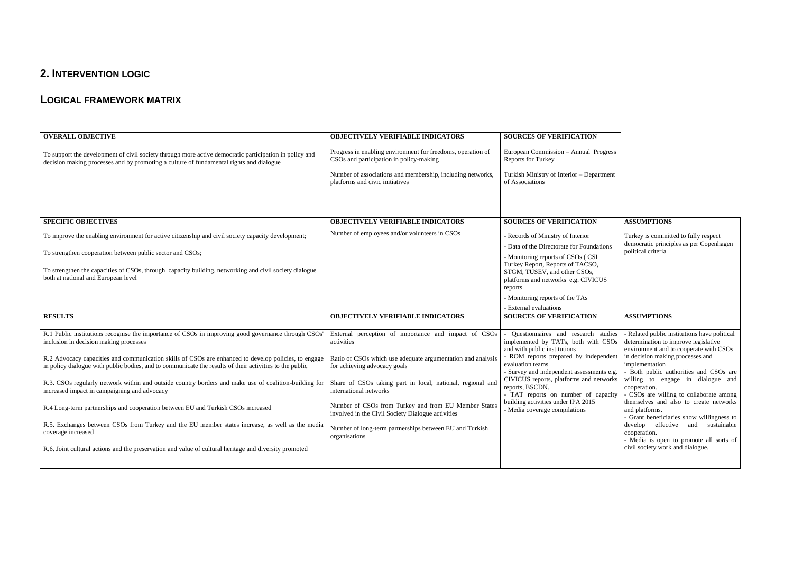## **2. INTERVENTION LOGIC**

## **LOGICAL FRAMEWORK MATRIX**

| <b>OVERALL OBJECTIVE</b>                                                                                                                                                                                        | <b>OBJECTIVELY VERIFIABLE INDICATORS</b>                                                                  | <b>SOURCES OF VERIFICATION</b>                                                                                                                          |                                                                                                                                |
|-----------------------------------------------------------------------------------------------------------------------------------------------------------------------------------------------------------------|-----------------------------------------------------------------------------------------------------------|---------------------------------------------------------------------------------------------------------------------------------------------------------|--------------------------------------------------------------------------------------------------------------------------------|
| To support the development of civil society through more active democratic participation in policy and<br>decision making processes and by promoting a culture of fundamental rights and dialogue               | Progress in enabling environment for freedoms, operation of<br>CSOs and participation in policy-making    | European Commission - Annual Progress<br><b>Reports for Turkey</b>                                                                                      |                                                                                                                                |
|                                                                                                                                                                                                                 | Number of associations and membership, including networks,<br>platforms and civic initiatives             | Turkish Ministry of Interior - Department<br>of Associations                                                                                            |                                                                                                                                |
|                                                                                                                                                                                                                 |                                                                                                           |                                                                                                                                                         |                                                                                                                                |
| <b>SPECIFIC OBJECTIVES</b>                                                                                                                                                                                      | <b>OBJECTIVELY VERIFIABLE INDICATORS</b>                                                                  | <b>SOURCES OF VERIFICATION</b>                                                                                                                          | <b>ASSUMPTIONS</b>                                                                                                             |
| To improve the enabling environment for active citizenship and civil society capacity development;                                                                                                              | Number of employees and/or volunteers in CSOs                                                             | - Records of Ministry of Interior                                                                                                                       | Turkey is committed to fully respect<br>democratic principles as per Copenhagen                                                |
| To strengthen cooperation between public sector and CSOs;                                                                                                                                                       |                                                                                                           | Data of the Directorate for Foundations                                                                                                                 | political criteria                                                                                                             |
| To strengthen the capacities of CSOs, through capacity building, networking and civil society dialogue<br>both at national and European level                                                                   |                                                                                                           | - Monitoring reports of CSOs (CSI<br>Turkey Report, Reports of TACSO,<br>STGM, TÜSEV, and other CSOs,<br>platforms and networks e.g. CIVICUS<br>reports |                                                                                                                                |
|                                                                                                                                                                                                                 |                                                                                                           | - Monitoring reports of the TAs                                                                                                                         |                                                                                                                                |
|                                                                                                                                                                                                                 |                                                                                                           | - External evaluations                                                                                                                                  |                                                                                                                                |
| <b>RESULTS</b>                                                                                                                                                                                                  | <b>OBJECTIVELY VERIFIABLE INDICATORS</b>                                                                  | <b>SOURCES OF VERIFICATION</b>                                                                                                                          | <b>ASSUMPTIONS</b>                                                                                                             |
| R.1 Public institutions recognise the importance of CSOs in improving good governance through CSOs'<br>inclusion in decision making processes                                                                   | External perception of importance and impact of CSOs<br>activities                                        | Questionnaires and research studies<br>implemented by TATs, both with CSOs<br>and with public institutions                                              | - Related public institutions have political<br>determination to improve legislative<br>environment and to cooperate with CSOs |
| R.2 Advocacy capacities and communication skills of CSOs are enhanced to develop policies, to engage<br>in policy dialogue with public bodies, and to communicate the results of their activities to the public | Ratio of CSOs which use adequate argumentation and analysis<br>for achieving advocacy goals               | ROM reports prepared by independent<br>evaluation teams<br>- Survey and independent assessments e.g.                                                    | in decision making processes and<br>implementation<br>- Both public authorities and CSOs are                                   |
| R.3. CSOs regularly network within and outside country borders and make use of coalition-building for<br>increased impact in campaigning and advocacy                                                           | Share of CSOs taking part in local, national, regional and<br>international networks                      | CIVICUS reports, platforms and networks<br>reports, BSCDN.<br>- TAT reports on number of capacity                                                       | willing to engage in dialogue and<br>cooperation.<br>- CSOs are willing to collaborate among                                   |
| R.4 Long-term partnerships and cooperation between EU and Turkish CSOs increased                                                                                                                                | Number of CSOs from Turkey and from EU Member States<br>involved in the Civil Society Dialogue activities | building activities under IPA 2015<br>- Media coverage compilations                                                                                     | themselves and also to create networks<br>and platforms.<br>- Grant beneficiaries show willingness to                          |
| R.5. Exchanges between CSOs from Turkey and the EU member states increase, as well as the media<br>coverage increased                                                                                           | Number of long-term partnerships between EU and Turkish<br>organisations                                  |                                                                                                                                                         | develop effective and sustainable<br>cooperation.<br>- Media is open to promote all sorts of                                   |
| R.6. Joint cultural actions and the preservation and value of cultural heritage and diversity promoted                                                                                                          |                                                                                                           |                                                                                                                                                         | civil society work and dialogue.                                                                                               |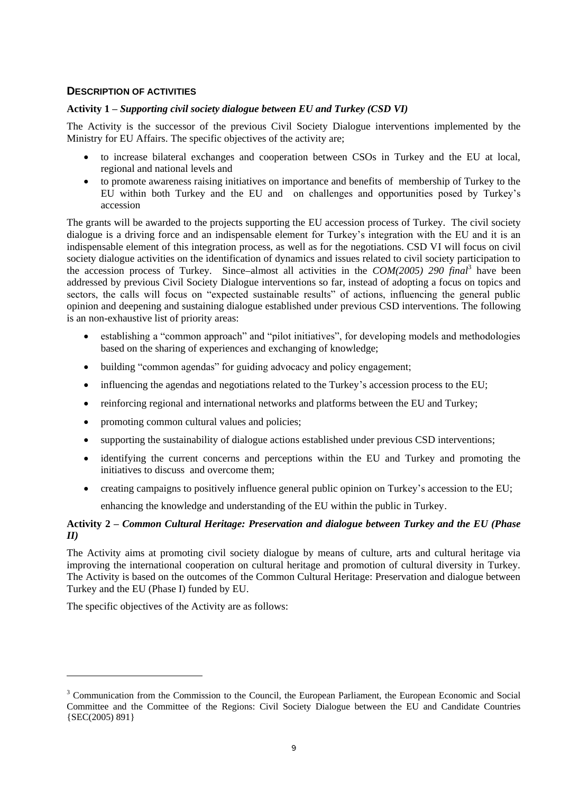## **DESCRIPTION OF ACTIVITIES**

## **Activity 1 –** *Supporting civil society dialogue between EU and Turkey (CSD VI)*

The Activity is the successor of the previous Civil Society Dialogue interventions implemented by the Ministry for EU Affairs. The specific objectives of the activity are;

- to increase bilateral exchanges and cooperation between CSOs in Turkey and the EU at local, regional and national levels and
- to promote awareness raising initiatives on importance and benefits of membership of Turkey to the EU within both Turkey and the EU and on challenges and opportunities posed by Turkey's accession

The grants will be awarded to the projects supporting the EU accession process of Turkey. The civil society dialogue is a driving force and an indispensable element for Turkey's integration with the EU and it is an indispensable element of this integration process, as well as for the negotiations. CSD VI will focus on civil society dialogue activities on the identification of dynamics and issues related to civil society participation to the accession process of Turkey. Since-almost all activities in the *COM(2005) 290 final*<sup>3</sup> have been addressed by previous Civil Society Dialogue interventions so far, instead of adopting a focus on topics and sectors, the calls will focus on "expected sustainable results" of actions, influencing the general public opinion and deepening and sustaining dialogue established under previous CSD interventions. The following is an non-exhaustive list of priority areas:

- establishing a "common approach" and "pilot initiatives", for developing models and methodologies based on the sharing of experiences and exchanging of knowledge;
- building "common agendas" for guiding advocacy and policy engagement;
- influencing the agendas and negotiations related to the Turkey's accession process to the EU;
- reinforcing regional and international networks and platforms between the EU and Turkey;
- promoting common cultural values and policies;
- supporting the sustainability of dialogue actions established under previous CSD interventions;
- identifying the current concerns and perceptions within the EU and Turkey and promoting the initiatives to discuss and overcome them;
- creating campaigns to positively influence general public opinion on Turkey's accession to the EU; enhancing the knowledge and understanding of the EU within the public in Turkey.

## **Activity 2 –** *Common Cultural Heritage: Preservation and dialogue between Turkey and the EU (Phase II)*

The Activity aims at promoting civil society dialogue by means of culture, arts and cultural heritage via improving the international cooperation on cultural heritage and promotion of cultural diversity in Turkey. The Activity is based on the outcomes of the Common Cultural Heritage: Preservation and dialogue between Turkey and the EU (Phase I) funded by EU.

The specific objectives of the Activity are as follows:

1

<sup>&</sup>lt;sup>3</sup> Communication from the Commission to the Council, the European Parliament, the European Economic and Social Committee and the Committee of the Regions: Civil Society Dialogue between the EU and Candidate Countries {SEC(2005) 891}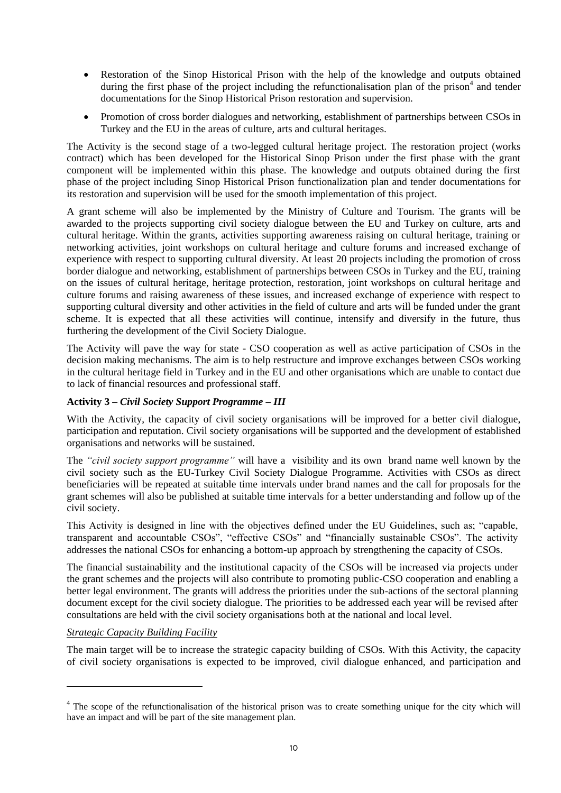- Restoration of the Sinop Historical Prison with the help of the knowledge and outputs obtained during the first phase of the project including the refunctionalisation plan of the prison<sup>4</sup> and tender documentations for the Sinop Historical Prison restoration and supervision.
- Promotion of cross border dialogues and networking, establishment of partnerships between CSOs in Turkey and the EU in the areas of culture, arts and cultural heritages.

The Activity is the second stage of a two-legged cultural heritage project. The restoration project (works contract) which has been developed for the Historical Sinop Prison under the first phase with the grant component will be implemented within this phase. The knowledge and outputs obtained during the first phase of the project including Sinop Historical Prison functionalization plan and tender documentations for its restoration and supervision will be used for the smooth implementation of this project.

A grant scheme will also be implemented by the Ministry of Culture and Tourism. The grants will be awarded to the projects supporting civil society dialogue between the EU and Turkey on culture, arts and cultural heritage. Within the grants, activities supporting awareness raising on cultural heritage, training or networking activities, joint workshops on cultural heritage and culture forums and increased exchange of experience with respect to supporting cultural diversity. At least 20 projects including the promotion of cross border dialogue and networking, establishment of partnerships between CSOs in Turkey and the EU, training on the issues of cultural heritage, heritage protection, restoration, joint workshops on cultural heritage and culture forums and raising awareness of these issues, and increased exchange of experience with respect to supporting cultural diversity and other activities in the field of culture and arts will be funded under the grant scheme. It is expected that all these activities will continue, intensify and diversify in the future, thus furthering the development of the Civil Society Dialogue.

The Activity will pave the way for state - CSO cooperation as well as active participation of CSOs in the decision making mechanisms. The aim is to help restructure and improve exchanges between CSOs working in the cultural heritage field in Turkey and in the EU and other organisations which are unable to contact due to lack of financial resources and professional staff.

## **Activity 3 –** *Civil Society Support Programme – III*

With the Activity, the capacity of civil society organisations will be improved for a better civil dialogue, participation and reputation. Civil society organisations will be supported and the development of established organisations and networks will be sustained.

The *"civil society support programme"* will have a visibility and its own brand name well known by the civil society such as the EU-Turkey Civil Society Dialogue Programme. Activities with CSOs as direct beneficiaries will be repeated at suitable time intervals under brand names and the call for proposals for the grant schemes will also be published at suitable time intervals for a better understanding and follow up of the civil society.

This Activity is designed in line with the objectives defined under the EU Guidelines, such as; "capable, transparent and accountable CSOs", "effective CSOs" and "financially sustainable CSOs". The activity addresses the national CSOs for enhancing a bottom-up approach by strengthening the capacity of CSOs.

The financial sustainability and the institutional capacity of the CSOs will be increased via projects under the grant schemes and the projects will also contribute to promoting public-CSO cooperation and enabling a better legal environment. The grants will address the priorities under the sub-actions of the sectoral planning document except for the civil society dialogue. The priorities to be addressed each year will be revised after consultations are held with the civil society organisations both at the national and local level.

## *Strategic Capacity Building Facility*

-

The main target will be to increase the strategic capacity building of CSOs. With this Activity, the capacity of civil society organisations is expected to be improved, civil dialogue enhanced, and participation and

<sup>&</sup>lt;sup>4</sup> The scope of the refunctionalisation of the historical prison was to create something unique for the city which will have an impact and will be part of the site management plan.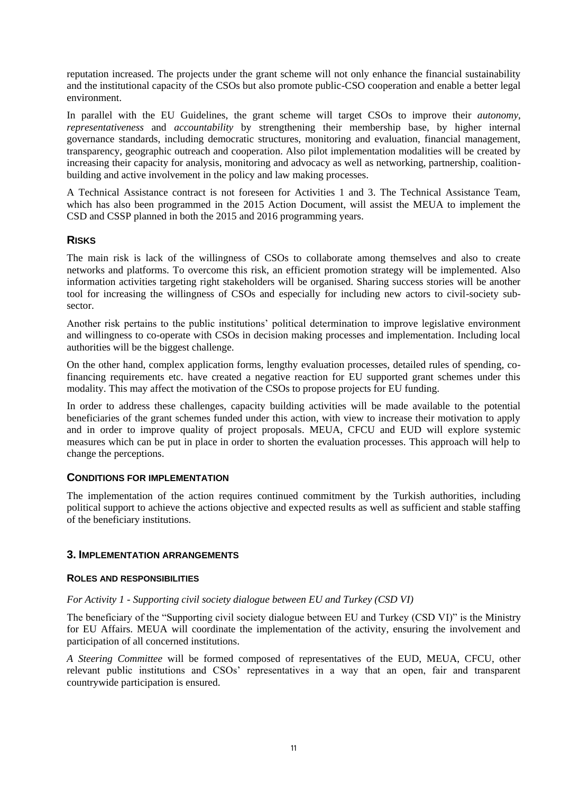reputation increased. The projects under the grant scheme will not only enhance the financial sustainability and the institutional capacity of the CSOs but also promote public-CSO cooperation and enable a better legal environment.

In parallel with the EU Guidelines, the grant scheme will target CSOs to improve their *autonomy, representativeness* and *accountability* by strengthening their membership base, by higher internal governance standards, including democratic structures, monitoring and evaluation, financial management, transparency, geographic outreach and cooperation. Also pilot implementation modalities will be created by increasing their capacity for analysis, monitoring and advocacy as well as networking, partnership, coalitionbuilding and active involvement in the policy and law making processes.

A Technical Assistance contract is not foreseen for Activities 1 and 3. The Technical Assistance Team, which has also been programmed in the 2015 Action Document, will assist the MEUA to implement the CSD and CSSP planned in both the 2015 and 2016 programming years.

## **RISKS**

The main risk is lack of the willingness of CSOs to collaborate among themselves and also to create networks and platforms. To overcome this risk, an efficient promotion strategy will be implemented. Also information activities targeting right stakeholders will be organised. Sharing success stories will be another tool for increasing the willingness of CSOs and especially for including new actors to civil-society subsector.

Another risk pertains to the public institutions' political determination to improve legislative environment and willingness to co-operate with CSOs in decision making processes and implementation. Including local authorities will be the biggest challenge.

On the other hand, complex application forms, lengthy evaluation processes, detailed rules of spending, cofinancing requirements etc. have created a negative reaction for EU supported grant schemes under this modality. This may affect the motivation of the CSOs to propose projects for EU funding.

In order to address these challenges, capacity building activities will be made available to the potential beneficiaries of the grant schemes funded under this action, with view to increase their motivation to apply and in order to improve quality of project proposals. MEUA, CFCU and EUD will explore systemic measures which can be put in place in order to shorten the evaluation processes. This approach will help to change the perceptions.

## **CONDITIONS FOR IMPLEMENTATION**

The implementation of the action requires continued commitment by the Turkish authorities, including political support to achieve the actions objective and expected results as well as sufficient and stable staffing of the beneficiary institutions.

## **3. IMPLEMENTATION ARRANGEMENTS**

#### **ROLES AND RESPONSIBILITIES**

## *For Activity 1 - Supporting civil society dialogue between EU and Turkey (CSD VI)*

The beneficiary of the "Supporting civil society dialogue between EU and Turkey (CSD VI)" is the Ministry for EU Affairs. MEUA will coordinate the implementation of the activity, ensuring the involvement and participation of all concerned institutions.

*A Steering Committee* will be formed composed of representatives of the EUD, MEUA, CFCU, other relevant public institutions and CSOs' representatives in a way that an open, fair and transparent countrywide participation is ensured.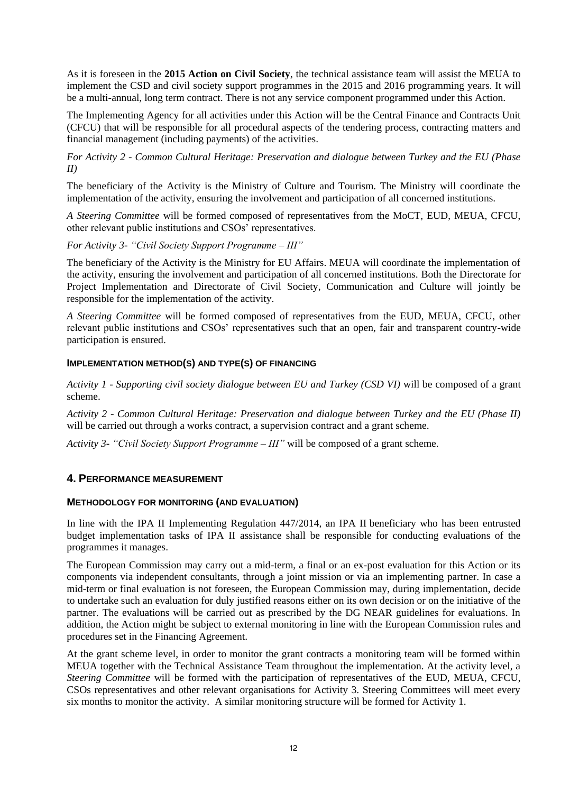As it is foreseen in the **2015 Action on Civil Society**, the technical assistance team will assist the MEUA to implement the CSD and civil society support programmes in the 2015 and 2016 programming years. It will be a multi-annual, long term contract. There is not any service component programmed under this Action.

The Implementing Agency for all activities under this Action will be the Central Finance and Contracts Unit (CFCU) that will be responsible for all procedural aspects of the tendering process, contracting matters and financial management (including payments) of the activities.

*For Activity 2 - Common Cultural Heritage: Preservation and dialogue between Turkey and the EU (Phase II)*

The beneficiary of the Activity is the Ministry of Culture and Tourism. The Ministry will coordinate the implementation of the activity, ensuring the involvement and participation of all concerned institutions.

*A Steering Committee* will be formed composed of representatives from the MoCT, EUD, MEUA, CFCU, other relevant public institutions and CSOs' representatives.

*For Activity 3- "Civil Society Support Programme – III"*

The beneficiary of the Activity is the Ministry for EU Affairs. MEUA will coordinate the implementation of the activity, ensuring the involvement and participation of all concerned institutions. Both the Directorate for Project Implementation and Directorate of Civil Society, Communication and Culture will jointly be responsible for the implementation of the activity.

*A Steering Committee* will be formed composed of representatives from the EUD, MEUA, CFCU, other relevant public institutions and CSOs' representatives such that an open, fair and transparent country-wide participation is ensured.

#### **IMPLEMENTATION METHOD(S) AND TYPE(S) OF FINANCING**

*Activity 1 - Supporting civil society dialogue between EU and Turkey (CSD VI)* will be composed of a grant scheme.

*Activity 2 - Common Cultural Heritage: Preservation and dialogue between Turkey and the EU (Phase II)* will be carried out through a works contract, a supervision contract and a grant scheme.

*Activity 3- "Civil Society Support Programme – III"* will be composed of a grant scheme.

## **4. PERFORMANCE MEASUREMENT**

## **METHODOLOGY FOR MONITORING (AND EVALUATION)**

In line with the IPA II Implementing Regulation 447/2014, an IPA II beneficiary who has been entrusted budget implementation tasks of IPA II assistance shall be responsible for conducting evaluations of the programmes it manages.

The European Commission may carry out a mid-term, a final or an ex-post evaluation for this Action or its components via independent consultants, through a joint mission or via an implementing partner. In case a mid-term or final evaluation is not foreseen, the European Commission may, during implementation, decide to undertake such an evaluation for duly justified reasons either on its own decision or on the initiative of the partner. The evaluations will be carried out as prescribed by the DG NEAR guidelines for evaluations. In addition, the Action might be subject to external monitoring in line with the European Commission rules and procedures set in the Financing Agreement.

At the grant scheme level, in order to monitor the grant contracts a monitoring team will be formed within MEUA together with the Technical Assistance Team throughout the implementation. At the activity level, a *Steering Committee* will be formed with the participation of representatives of the EUD, MEUA, CFCU, CSOs representatives and other relevant organisations for Activity 3. Steering Committees will meet every six months to monitor the activity. A similar monitoring structure will be formed for Activity 1.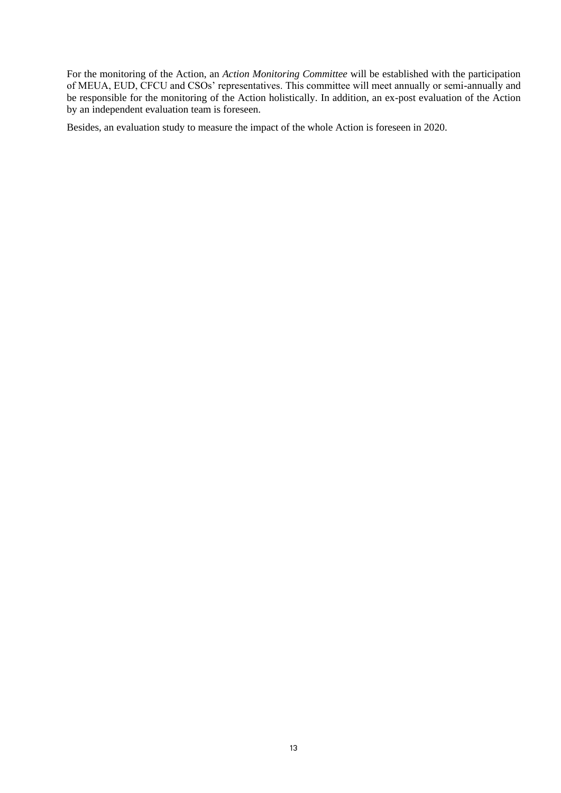For the monitoring of the Action, an *Action Monitoring Committee* will be established with the participation of MEUA, EUD, CFCU and CSOs' representatives. This committee will meet annually or semi-annually and be responsible for the monitoring of the Action holistically. In addition, an ex-post evaluation of the Action by an independent evaluation team is foreseen.

Besides, an evaluation study to measure the impact of the whole Action is foreseen in 2020.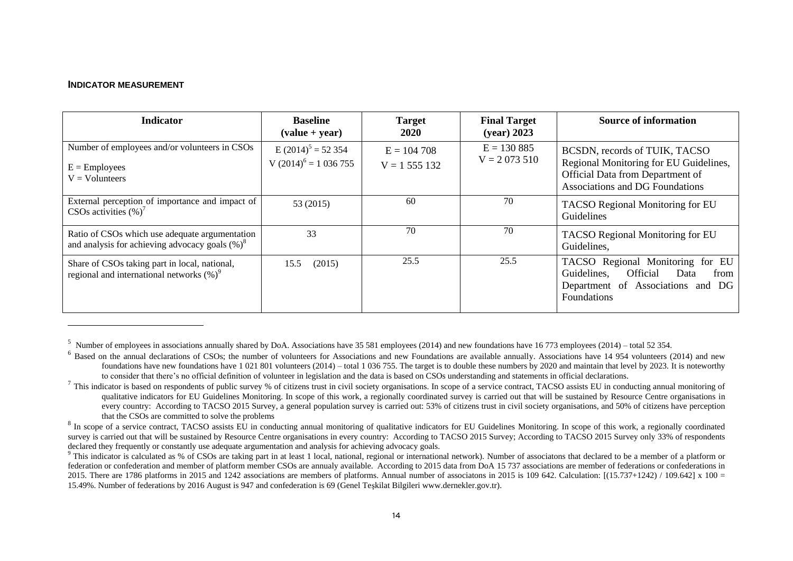#### **INDICATOR MEASUREMENT**

l

| <b>Indicator</b>                                                                                     | <b>Baseline</b><br>$\left( \text{value} + \text{year} \right)$ | <b>Target</b><br>2020          | <b>Final Target</b><br>$(year)$ 2023 | <b>Source of information</b>                                                                                                                          |
|------------------------------------------------------------------------------------------------------|----------------------------------------------------------------|--------------------------------|--------------------------------------|-------------------------------------------------------------------------------------------------------------------------------------------------------|
| Number of employees and/or volunteers in CSOs<br>$E =$ Employees<br>$V = Vol$ unteers                | E $(2014)^5$ = 52 354<br>V $(2014)^6$ = 1 036 755              | $E = 104,708$<br>$V = 1555132$ | $E = 130885$<br>$V = 2073510$        | BCSDN, records of TUIK, TACSO<br>Regional Monitoring for EU Guidelines,<br>Official Data from Department of<br><b>Associations and DG Foundations</b> |
| External perception of importance and impact of<br>CSOs activities $(\%)^7$                          | 53 (2015)                                                      | 60                             | 70                                   | TACSO Regional Monitoring for EU<br>Guidelines                                                                                                        |
| Ratio of CSOs which use adequate argumentation<br>and analysis for achieving advocacy goals $(\%)^8$ | 33                                                             | 70                             | 70                                   | TACSO Regional Monitoring for EU<br>Guidelines,                                                                                                       |
| Share of CSOs taking part in local, national,<br>regional and international networks $(\%)^9$        | (2015)<br>15.5                                                 | 25.5                           | 25.5                                 | TACSO Regional Monitoring for EU<br><b>Official</b><br>Guidelines,<br>from<br>Data<br>Department of Associations and DG<br>Foundations                |

<sup>5</sup> Number of employees in associations annually shared by DoA. Associations have 35 581 employees (2014) and new foundations have 16 773 employees (2014) – total 52 354.

 $6$  Based on the annual declarations of CSOs; the number of volunteers for Associations and new Foundations are available annually. Associations have 14 954 volunteers (2014) and new foundations have new foundations have 1 021 801 volunteers (2014) – total 1 036 755. The target is to double these numbers by 2020 and maintain that level by 2023. It is noteworthy to consider that there's no official definition of volunteer in legislation and the data is based on CSOs understanding and statements in official declarations.

 $^7$  This indicator is based on respondents of public survey % of citizens trust in civil society organisations. In scope of a service contract, TACSO assists EU in conducting annual monitoring of qualitative indicators for EU Guidelines Monitoring. In scope of this work, a regionally coordinated survey is carried out that will be sustained by Resource Centre organisations in every country: According to TACSO 2015 Survey, a general population survey is carried out: 53% of citizens trust in civil society organisations, and 50% of citizens have perception that the CSOs are committed to solve the problems

 $8$  In scope of a service contract, TACSO assists EU in conducting annual monitoring of qualitative indicators for EU Guidelines Monitoring. In scope of this work, a regionally coordinated survey is carried out that will be sustained by Resource Centre organisations in every country: According to TACSO 2015 Survey; According to TACSO 2015 Survey only 33% of respondents declared they frequently or constantly use adequate argumentation and analysis for achieving advocacy goals.

<sup>&</sup>lt;sup>9</sup> This indicator is calculated as % of CSOs are taking part in at least 1 local, national, regional or international network). Number of associatons that declared to be a member of a platform or federation or confederation and member of platform member CSOs are annualy available. According to 2015 data from DoA 15 737 associations are member of federations or confederations in 2015. There are 1786 platforms in 2015 and 1242 associations are members of platforms. Annual number of associatons in 2015 is 109 642. Calculation:  $[(15.737+1242) / 109.642]$  x 100 = 15.49%. Number of federations by 2016 August is 947 and confederation is 69 (Genel Teşkilat Bilgileri www.dernekler.gov.tr).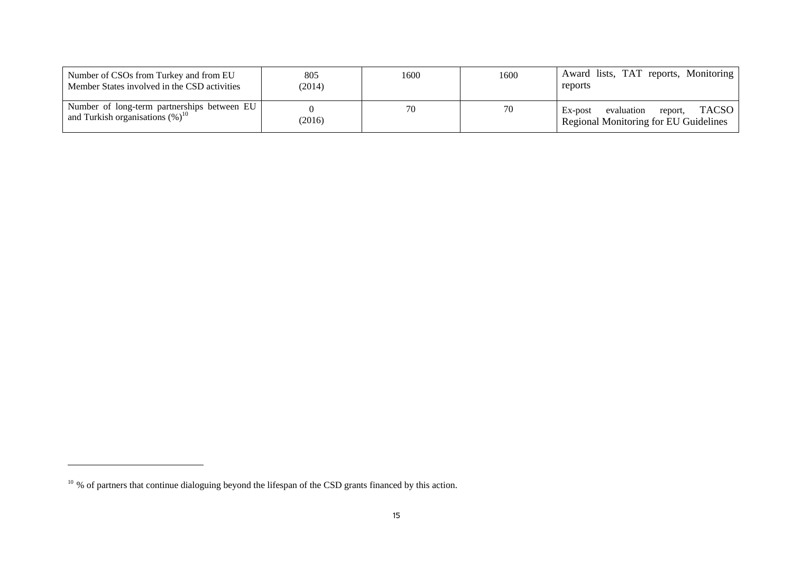| Number of CSOs from Turkey and from EU<br>Member States involved in the CSD activities         | 805<br>2014) | 1600 | 1600 | Award lists, TAT reports, Monitoring<br>reports                                           |
|------------------------------------------------------------------------------------------------|--------------|------|------|-------------------------------------------------------------------------------------------|
| Number of long-term partnerships between EU<br>and Turkish organisations $(\%)^1$ <sup>0</sup> | 2016         | 70   | 70   | <b>TACSO</b><br>evaluation<br>Ex-post<br>report,<br>Regional Monitoring for EU Guidelines |

 $\overline{a}$ 

<sup>&</sup>lt;sup>10</sup> % of partners that continue dialoguing beyond the lifespan of the CSD grants financed by this action.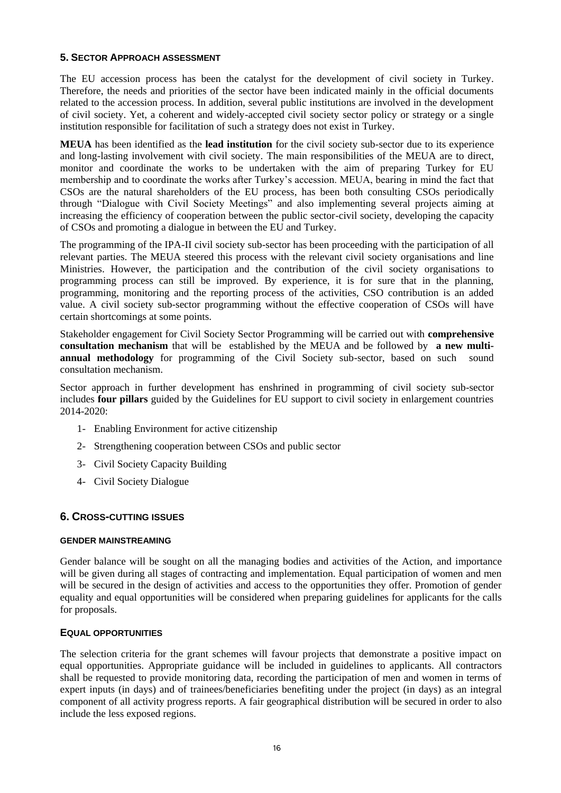## **5. SECTOR APPROACH ASSESSMENT**

The EU accession process has been the catalyst for the development of civil society in Turkey. Therefore, the needs and priorities of the sector have been indicated mainly in the official documents related to the accession process. In addition, several public institutions are involved in the development of civil society. Yet, a coherent and widely-accepted civil society sector policy or strategy or a single institution responsible for facilitation of such a strategy does not exist in Turkey.

**MEUA** has been identified as the **lead institution** for the civil society sub-sector due to its experience and long-lasting involvement with civil society. The main responsibilities of the MEUA are to direct, monitor and coordinate the works to be undertaken with the aim of preparing Turkey for EU membership and to coordinate the works after Turkey's accession. MEUA, bearing in mind the fact that CSOs are the natural shareholders of the EU process, has been both consulting CSOs periodically through "Dialogue with Civil Society Meetings" and also implementing several projects aiming at increasing the efficiency of cooperation between the public sector-civil society, developing the capacity of CSOs and promoting a dialogue in between the EU and Turkey.

The programming of the IPA-II civil society sub-sector has been proceeding with the participation of all relevant parties. The MEUA steered this process with the relevant civil society organisations and line Ministries. However, the participation and the contribution of the civil society organisations to programming process can still be improved. By experience, it is for sure that in the planning, programming, monitoring and the reporting process of the activities, CSO contribution is an added value. A civil society sub-sector programming without the effective cooperation of CSOs will have certain shortcomings at some points.

Stakeholder engagement for Civil Society Sector Programming will be carried out with **comprehensive consultation mechanism** that will be established by the MEUA and be followed by **a new multiannual methodology** for programming of the Civil Society sub-sector, based on such sound consultation mechanism.

Sector approach in further development has enshrined in programming of civil society sub-sector includes **four pillars** guided by the Guidelines for EU support to civil society in enlargement countries 2014-2020:

- 1- Enabling Environment for active citizenship
- 2- Strengthening cooperation between CSOs and public sector
- 3- Civil Society Capacity Building
- 4- Civil Society Dialogue

## **6. CROSS-CUTTING ISSUES**

## **GENDER MAINSTREAMING**

Gender balance will be sought on all the managing bodies and activities of the Action, and importance will be given during all stages of contracting and implementation. Equal participation of women and men will be secured in the design of activities and access to the opportunities they offer. Promotion of gender equality and equal opportunities will be considered when preparing guidelines for applicants for the calls for proposals.

#### **EQUAL OPPORTUNITIES**

The selection criteria for the grant schemes will favour projects that demonstrate a positive impact on equal opportunities. Appropriate guidance will be included in guidelines to applicants. All contractors shall be requested to provide monitoring data, recording the participation of men and women in terms of expert inputs (in days) and of trainees/beneficiaries benefiting under the project (in days) as an integral component of all activity progress reports. A fair geographical distribution will be secured in order to also include the less exposed regions.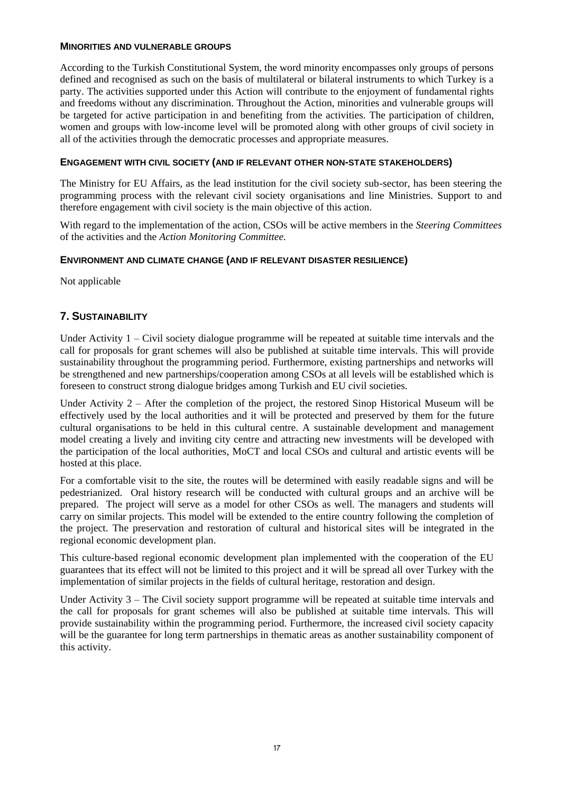## **MINORITIES AND VULNERABLE GROUPS**

According to the Turkish Constitutional System, the word minority encompasses only groups of persons defined and recognised as such on the basis of multilateral or bilateral instruments to which Turkey is a party. The activities supported under this Action will contribute to the enjoyment of fundamental rights and freedoms without any discrimination. Throughout the Action, minorities and vulnerable groups will be targeted for active participation in and benefiting from the activities. The participation of children, women and groups with low-income level will be promoted along with other groups of civil society in all of the activities through the democratic processes and appropriate measures.

## **ENGAGEMENT WITH CIVIL SOCIETY (AND IF RELEVANT OTHER NON-STATE STAKEHOLDERS)**

The Ministry for EU Affairs, as the lead institution for the civil society sub-sector, has been steering the programming process with the relevant civil society organisations and line Ministries. Support to and therefore engagement with civil society is the main objective of this action.

With regard to the implementation of the action, CSOs will be active members in the *Steering Committees* of the activities and the *Action Monitoring Committee.*

## **ENVIRONMENT AND CLIMATE CHANGE (AND IF RELEVANT DISASTER RESILIENCE)**

Not applicable

## **7. SUSTAINABILITY**

Under Activity 1 – Civil society dialogue programme will be repeated at suitable time intervals and the call for proposals for grant schemes will also be published at suitable time intervals. This will provide sustainability throughout the programming period. Furthermore, existing partnerships and networks will be strengthened and new partnerships/cooperation among CSOs at all levels will be established which is foreseen to construct strong dialogue bridges among Turkish and EU civil societies.

Under Activity 2 – After the completion of the project, the restored Sinop Historical Museum will be effectively used by the local authorities and it will be protected and preserved by them for the future cultural organisations to be held in this cultural centre. A sustainable development and management model creating a lively and inviting city centre and attracting new investments will be developed with the participation of the local authorities, MoCT and local CSOs and cultural and artistic events will be hosted at this place.

For a comfortable visit to the site, the routes will be determined with easily readable signs and will be pedestrianized. Oral history research will be conducted with cultural groups and an archive will be prepared. The project will serve as a model for other CSOs as well. The managers and students will carry on similar projects. This model will be extended to the entire country following the completion of the project. The preservation and restoration of cultural and historical sites will be integrated in the regional economic development plan.

This culture-based regional economic development plan implemented with the cooperation of the EU guarantees that its effect will not be limited to this project and it will be spread all over Turkey with the implementation of similar projects in the fields of cultural heritage, restoration and design.

Under Activity 3 – The Civil society support programme will be repeated at suitable time intervals and the call for proposals for grant schemes will also be published at suitable time intervals. This will provide sustainability within the programming period. Furthermore, the increased civil society capacity will be the guarantee for long term partnerships in thematic areas as another sustainability component of this activity.